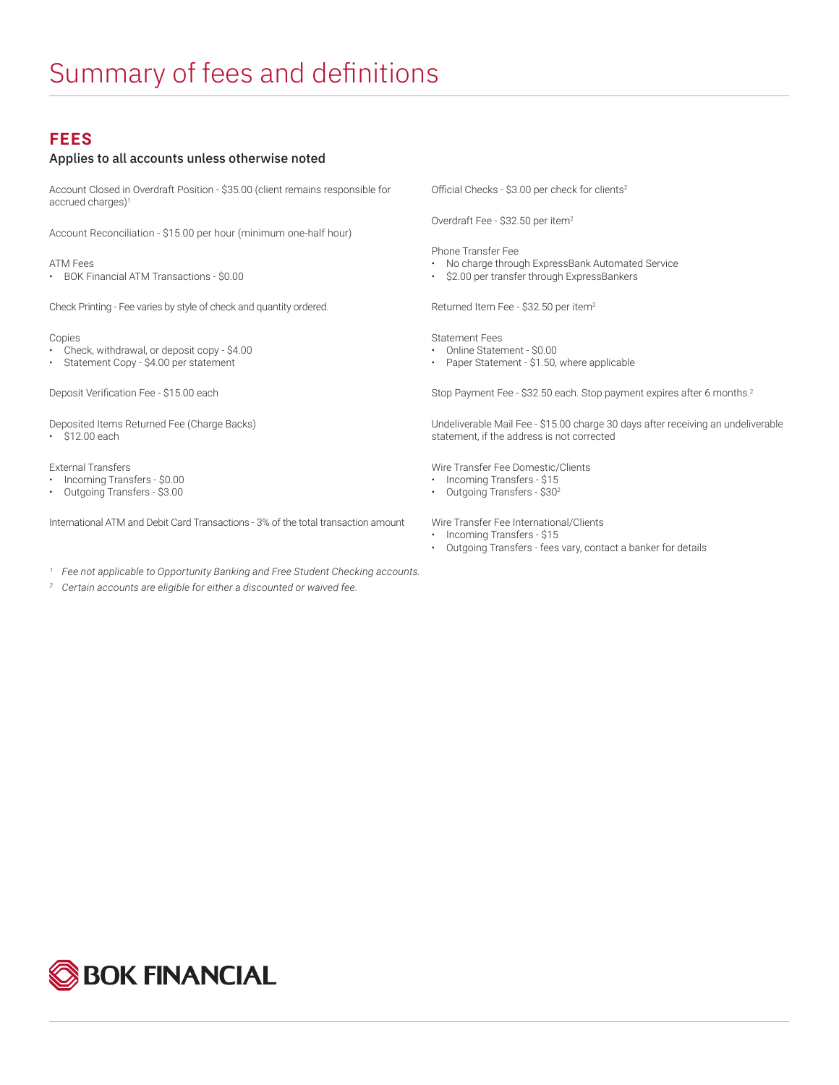## **FEES**

## Applies to all accounts unless otherwise noted

Account Closed in Overdraft Position - \$35.00 (client remains responsible for accrued charges)<sup>1</sup>

Account Reconciliation - \$15.00 per hour (minimum one-half hour)

ATM Fees

• BOK Financial ATM Transactions - \$0.00

Check Printing - Fee varies by style of check and quantity ordered.

Copies

- Check, withdrawal, or deposit copy \$4.00
- Statement Copy \$4.00 per statement

Deposit Verification Fee - \$15.00 each

Deposited Items Returned Fee (Charge Backs) • \$12.00 each

External Transfers

- Incoming Transfers \$0.00
- Outgoing Transfers \$3.00

International ATM and Debit Card Transactions - 3% of the total transaction amount

- *<sup>1</sup> Fee not applicable to Opportunity Banking and Free Student Checking accounts.*
- *<sup>2</sup> Certain accounts are eligible for either a discounted or waived fee.*

Official Checks - \$3.00 per check for clients<sup>2</sup>

Overdraft Fee - \$32.50 per item2

Phone Transfer Fee

- No charge through ExpressBank Automated Service
- \$2.00 per transfer through ExpressBankers

Returned Item Fee - \$32.50 per item<sup>2</sup>

Statement Fees

- Online Statement \$0.00
- Paper Statement \$1.50, where applicable

Stop Payment Fee - \$32.50 each. Stop payment expires after 6 months.<sup>2</sup>

Undeliverable Mail Fee - \$15.00 charge 30 days after receiving an undeliverable statement, if the address is not corrected

Wire Transfer Fee Domestic/Clients

- Incoming Transfers \$15
- Outgoing Transfers \$302

Wire Transfer Fee International/Clients

- Incoming Transfers \$15
- Outgoing Transfers fees vary, contact a banker for details